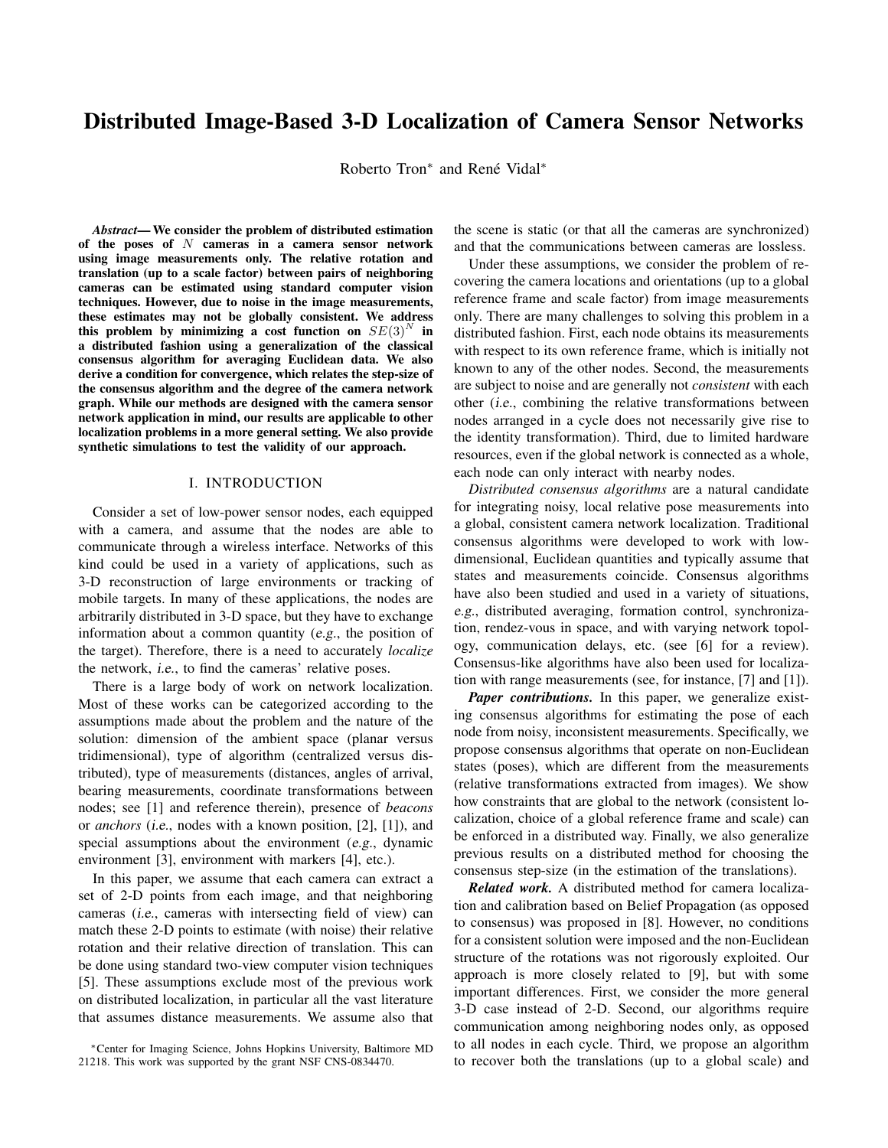# Distributed Image-Based 3-D Localization of Camera Sensor Networks

Roberto Tron<sup>\*</sup> and René Vidal<sup>\*</sup>

*Abstract*— We consider the problem of distributed estimation of the poses of  $N$  cameras in a camera sensor network using image measurements only. The relative rotation and translation (up to a scale factor) between pairs of neighboring cameras can be estimated using standard computer vision techniques. However, due to noise in the image measurements, these estimates may not be globally consistent. We address this problem by minimizing a cost function on  $SE(3)^N$  in a distributed fashion using a generalization of the classical consensus algorithm for averaging Euclidean data. We also derive a condition for convergence, which relates the step-size of the consensus algorithm and the degree of the camera network graph. While our methods are designed with the camera sensor network application in mind, our results are applicable to other localization problems in a more general setting. We also provide synthetic simulations to test the validity of our approach.

#### I. INTRODUCTION

Consider a set of low-power sensor nodes, each equipped with a camera, and assume that the nodes are able to communicate through a wireless interface. Networks of this kind could be used in a variety of applications, such as 3-D reconstruction of large environments or tracking of mobile targets. In many of these applications, the nodes are arbitrarily distributed in 3-D space, but they have to exchange information about a common quantity (e.g., the position of the target). Therefore, there is a need to accurately *localize* the network, i.e., to find the cameras' relative poses.

There is a large body of work on network localization. Most of these works can be categorized according to the assumptions made about the problem and the nature of the solution: dimension of the ambient space (planar versus tridimensional), type of algorithm (centralized versus distributed), type of measurements (distances, angles of arrival, bearing measurements, coordinate transformations between nodes; see [1] and reference therein), presence of *beacons* or *anchors* (i.e., nodes with a known position, [2], [1]), and special assumptions about the environment (e.g., dynamic environment [3], environment with markers [4], etc.).

In this paper, we assume that each camera can extract a set of 2-D points from each image, and that neighboring cameras (i.e., cameras with intersecting field of view) can match these 2-D points to estimate (with noise) their relative rotation and their relative direction of translation. This can be done using standard two-view computer vision techniques [5]. These assumptions exclude most of the previous work on distributed localization, in particular all the vast literature that assumes distance measurements. We assume also that

the scene is static (or that all the cameras are synchronized) and that the communications between cameras are lossless.

Under these assumptions, we consider the problem of recovering the camera locations and orientations (up to a global reference frame and scale factor) from image measurements only. There are many challenges to solving this problem in a distributed fashion. First, each node obtains its measurements with respect to its own reference frame, which is initially not known to any of the other nodes. Second, the measurements are subject to noise and are generally not *consistent* with each other (i.e., combining the relative transformations between nodes arranged in a cycle does not necessarily give rise to the identity transformation). Third, due to limited hardware resources, even if the global network is connected as a whole, each node can only interact with nearby nodes.

*Distributed consensus algorithms* are a natural candidate for integrating noisy, local relative pose measurements into a global, consistent camera network localization. Traditional consensus algorithms were developed to work with lowdimensional, Euclidean quantities and typically assume that states and measurements coincide. Consensus algorithms have also been studied and used in a variety of situations, e.g., distributed averaging, formation control, synchronization, rendez-vous in space, and with varying network topology, communication delays, etc. (see [6] for a review). Consensus-like algorithms have also been used for localization with range measurements (see, for instance, [7] and [1]).

*Paper contributions.* In this paper, we generalize existing consensus algorithms for estimating the pose of each node from noisy, inconsistent measurements. Specifically, we propose consensus algorithms that operate on non-Euclidean states (poses), which are different from the measurements (relative transformations extracted from images). We show how constraints that are global to the network (consistent localization, choice of a global reference frame and scale) can be enforced in a distributed way. Finally, we also generalize previous results on a distributed method for choosing the consensus step-size (in the estimation of the translations).

*Related work.* A distributed method for camera localization and calibration based on Belief Propagation (as opposed to consensus) was proposed in [8]. However, no conditions for a consistent solution were imposed and the non-Euclidean structure of the rotations was not rigorously exploited. Our approach is more closely related to [9], but with some important differences. First, we consider the more general 3-D case instead of 2-D. Second, our algorithms require communication among neighboring nodes only, as opposed to all nodes in each cycle. Third, we propose an algorithm to recover both the translations (up to a global scale) and

<sup>∗</sup>Center for Imaging Science, Johns Hopkins University, Baltimore MD 21218. This work was supported by the grant NSF CNS-0834470.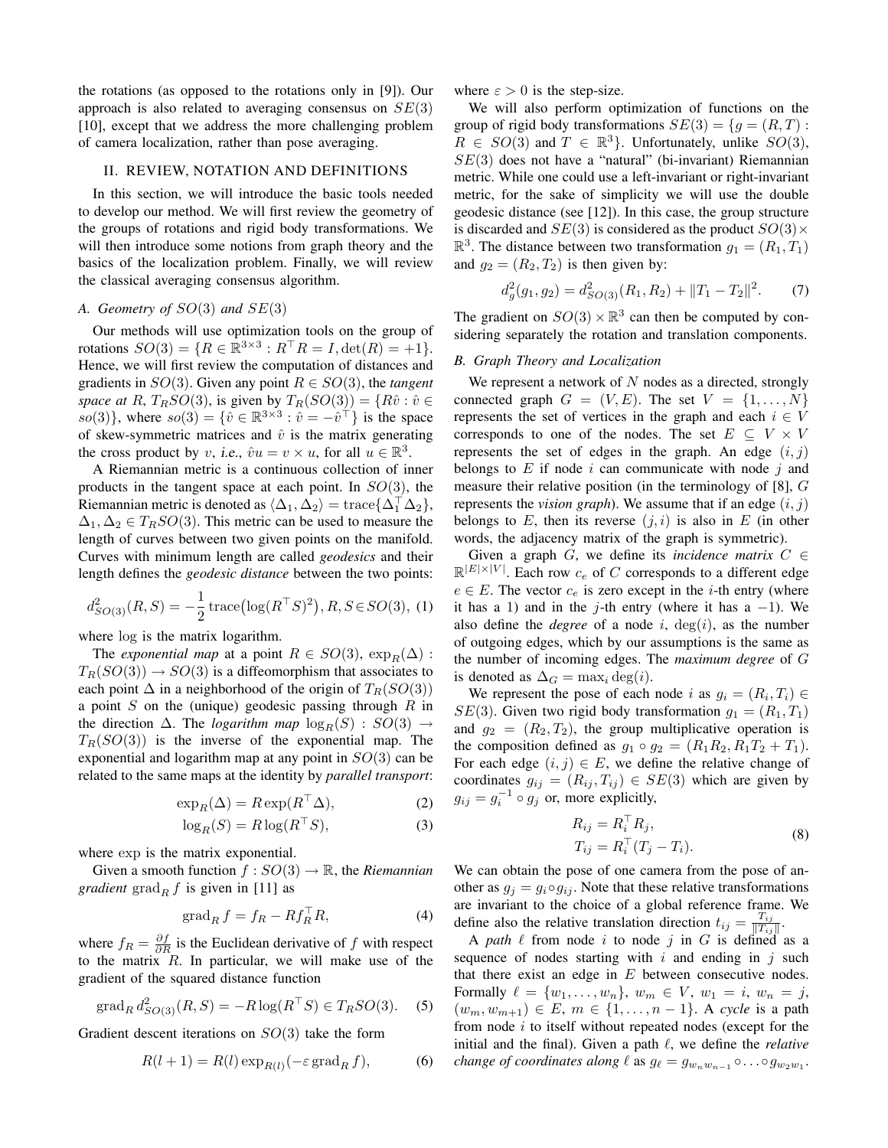the rotations (as opposed to the rotations only in [9]). Our approach is also related to averaging consensus on  $SE(3)$ [10], except that we address the more challenging problem of camera localization, rather than pose averaging.

## II. REVIEW, NOTATION AND DEFINITIONS

In this section, we will introduce the basic tools needed to develop our method. We will first review the geometry of the groups of rotations and rigid body transformations. We will then introduce some notions from graph theory and the basics of the localization problem. Finally, we will review the classical averaging consensus algorithm.

## *A. Geometry of* SO(3) *and* SE(3)

Our methods will use optimization tools on the group of rotations  $SO(3) = \{ R \in \mathbb{R}^{3 \times 3} : R^\top R = I, \det(R) = +1 \}.$ Hence, we will first review the computation of distances and gradients in  $SO(3)$ . Given any point  $R \in SO(3)$ , the *tangent space at* R,  $T_R SO(3)$ , is given by  $T_R(SO(3)) = \{R\hat{v} : \hat{v} \in$  $\{so(3)\}\,$ , where  $so(3) = \{\hat{v} \in \mathbb{R}^{3 \times 3} : \hat{v} = -\hat{v}^{\dagger}\}\$ is the space of skew-symmetric matrices and  $\hat{v}$  is the matrix generating the cross product by v, i.e.,  $\hat{v}u = v \times u$ , for all  $u \in \mathbb{R}^3$ .

A Riemannian metric is a continuous collection of inner products in the tangent space at each point. In  $SO(3)$ , the Riemannian metric is denoted as  $\langle \Delta_1, \Delta_2 \rangle = \text{trace} \{ \Delta_1^\top \Delta_2 \},$  $\Delta_1, \Delta_2 \in T_RSO(3)$ . This metric can be used to measure the length of curves between two given points on the manifold. Curves with minimum length are called *geodesics* and their length defines the *geodesic distance* between the two points:

$$
d_{SO(3)}^2(R, S) = -\frac{1}{2} \operatorname{trace}(\log(R^\top S)^2), R, S \in SO(3), \text{ (1)}
$$

where log is the matrix logarithm.

The *exponential map* at a point  $R \in SO(3)$ ,  $\exp_R(\Delta)$ :  $T_R(SO(3)) \to SO(3)$  is a diffeomorphism that associates to each point  $\Delta$  in a neighborhood of the origin of  $T_R(SO(3))$ a point  $S$  on the (unique) geodesic passing through  $R$  in the direction  $\Delta$ . The *logarithm map*  $\log_B(S)$  :  $SO(3)$  →  $T_R(SO(3))$  is the inverse of the exponential map. The exponential and logarithm map at any point in  $SO(3)$  can be related to the same maps at the identity by *parallel transport*:

$$
\exp_R(\Delta) = R \exp(R^\top \Delta),\tag{2}
$$

$$
\log_R(S) = R \log(R^\top S),\tag{3}
$$

where exp is the matrix exponential.

Given a smooth function  $f: SO(3) \rightarrow \mathbb{R}$ , the *Riemannian gradient* grad<sub>R</sub> f is given in [11] as

$$
\operatorname{grad}_R f = f_R - R f_R^\top R,\tag{4}
$$

where  $f_R = \frac{\partial f}{\partial R}$  is the Euclidean derivative of f with respect to the matrix  $R$ . In particular, we will make use of the gradient of the squared distance function

$$
\text{grad}_{R} d_{SO(3)}^{2}(R, S) = -R \log(R^{\top} S) \in T_{R} SO(3). \quad (5)
$$

Gradient descent iterations on  $SO(3)$  take the form

$$
R(l+1) = R(l) \exp_{R(l)}(-\varepsilon \operatorname{grad}_R f), \tag{6}
$$

where  $\varepsilon > 0$  is the step-size.

We will also perform optimization of functions on the group of rigid body transformations  $SE(3) = \{g = (R, T) :$  $R \in SO(3)$  and  $T \in \mathbb{R}^3$ . Unfortunately, unlike  $SO(3)$ ,  $SE(3)$  does not have a "natural" (bi-invariant) Riemannian metric. While one could use a left-invariant or right-invariant metric, for the sake of simplicity we will use the double geodesic distance (see [12]). In this case, the group structure is discarded and  $SE(3)$  is considered as the product  $SO(3) \times$  $\mathbb{R}^3$ . The distance between two transformation  $g_1 = (R_1, T_1)$ and  $g_2 = (R_2, T_2)$  is then given by:

$$
d_g^2(g_1, g_2) = d_{SO(3)}^2(R_1, R_2) + ||T_1 - T_2||^2.
$$
 (7)

The gradient on  $SO(3) \times \mathbb{R}^3$  can then be computed by considering separately the rotation and translation components.

## *B. Graph Theory and Localization*

We represent a network of  $N$  nodes as a directed, strongly connected graph  $G = (V, E)$ . The set  $V = \{1, \ldots, N\}$ represents the set of vertices in the graph and each  $i \in V$ corresponds to one of the nodes. The set  $E \subseteq V \times V$ represents the set of edges in the graph. An edge  $(i, j)$ belongs to  $E$  if node  $i$  can communicate with node  $j$  and measure their relative position (in the terminology of [8], G represents the *vision graph*). We assume that if an edge  $(i, j)$ belongs to E, then its reverse  $(j, i)$  is also in E (in other words, the adjacency matrix of the graph is symmetric).

Given a graph G, we define its *incidence matrix*  $C \in$  $\mathbb{R}^{|E|\times |V|}$ . Each row  $c_e$  of C corresponds to a different edge  $e \in E$ . The vector  $c_e$  is zero except in the *i*-th entry (where it has a 1) and in the j-th entry (where it has a  $-1$ ). We also define the *degree* of a node  $i$ ,  $deg(i)$ , as the number of outgoing edges, which by our assumptions is the same as the number of incoming edges. The *maximum degree* of G is denoted as  $\Delta_G = \max_i \deg(i)$ .

We represent the pose of each node i as  $g_i = (R_i, T_i) \in$  $SE(3)$ . Given two rigid body transformation  $g_1 = (R_1, T_1)$ and  $g_2 = (R_2, T_2)$ , the group multiplicative operation is the composition defined as  $g_1 \circ g_2 = (R_1R_2, R_1T_2 + T_1).$ For each edge  $(i, j) \in E$ , we define the relative change of coordinates  $g_{ij} = (R_{ij}, T_{ij}) \in SE(3)$  which are given by  $g_{ij} = g_i^{-1} \circ g_j$  or, more explicitly,

$$
R_{ij} = R_i^{\top} R_j,
$$
  
\n
$$
T_{ij} = R_i^{\top} (T_j - T_i).
$$
\n(8)

We can obtain the pose of one camera from the pose of another as  $g_j = g_i \circ g_{ij}$ . Note that these relative transformations are invariant to the choice of a global reference frame. We define also the relative translation direction  $t_{ij} = \frac{T_{ij}}{\|T_{ij}\|}$  $\frac{I_{ij}}{\|T_{ij}\|}.$ 

A *path*  $\ell$  from node i to node j in G is defined as a sequence of nodes starting with  $i$  and ending in  $j$  such that there exist an edge in  $E$  between consecutive nodes. Formally  $\ell = \{w_1, \ldots, w_n\}, w_m \in V, w_1 = i, w_n = j,$  $(w_m, w_{m+1})$  ∈ E,  $m$  ∈ {1, ...,  $n-1$ }. A *cycle* is a path from node  $i$  to itself without repeated nodes (except for the initial and the final). Given a path  $\ell$ , we define the *relative change of coordinates along*  $\ell$  as  $g_{\ell} = g_{w_n w_{n-1}} \circ \ldots \circ g_{w_2 w_1}$ .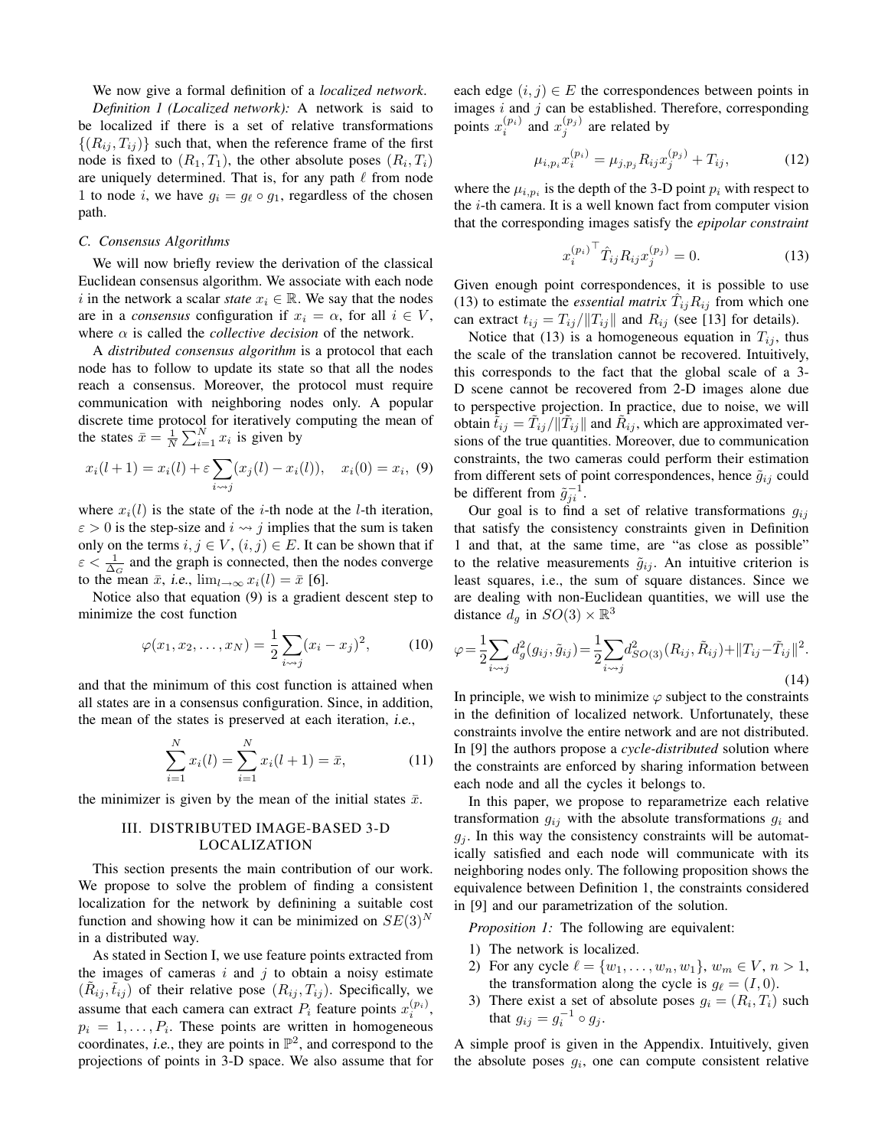We now give a formal definition of a *localized network*.

*Definition 1 (Localized network):* A network is said to be localized if there is a set of relative transformations  $\{(R_{ij}, T_{ij})\}$  such that, when the reference frame of the first node is fixed to  $(R_1, T_1)$ , the other absolute poses  $(R_i, T_i)$ are uniquely determined. That is, for any path  $\ell$  from node 1 to node i, we have  $g_i = g_\ell \circ g_1$ , regardless of the chosen path.

## *C. Consensus Algorithms*

We will now briefly review the derivation of the classical Euclidean consensus algorithm. We associate with each node i in the network a scalar *state*  $x_i \in \mathbb{R}$ . We say that the nodes are in a *consensus* configuration if  $x_i = \alpha$ , for all  $i \in V$ , where  $\alpha$  is called the *collective decision* of the network.

A *distributed consensus algorithm* is a protocol that each node has to follow to update its state so that all the nodes reach a consensus. Moreover, the protocol must require communication with neighboring nodes only. A popular discrete time protocol for iteratively computing the mean of the states  $\bar{x} = \frac{1}{N} \sum_{i=1}^{N} x_i$  is given by

$$
x_i(l+1) = x_i(l) + \varepsilon \sum_{i \sim j} (x_j(l) - x_i(l)), \quad x_i(0) = x_i, \tag{9}
$$

where  $x_i(l)$  is the state of the *i*-th node at the *l*-th iteration,  $\varepsilon > 0$  is the step-size and  $i \leftrightarrow j$  implies that the sum is taken only on the terms  $i, j \in V$ ,  $(i, j) \in E$ . It can be shown that if  $\epsilon < \frac{1}{\Delta_G}$  and the graph is connected, then the nodes converge to the mean  $\bar{x}$ , i.e.,  $\lim_{l\to\infty} x_i(l) = \bar{x}$  [6].

Notice also that equation (9) is a gradient descent step to minimize the cost function

$$
\varphi(x_1, x_2, \dots, x_N) = \frac{1}{2} \sum_{i \to j} (x_i - x_j)^2,
$$
\n(10)

and that the minimum of this cost function is attained when all states are in a consensus configuration. Since, in addition, the mean of the states is preserved at each iteration, i.e.,

$$
\sum_{i=1}^{N} x_i(l) = \sum_{i=1}^{N} x_i(l+1) = \bar{x},
$$
\n(11)

the minimizer is given by the mean of the initial states  $\bar{x}$ .

# III. DISTRIBUTED IMAGE-BASED 3-D LOCALIZATION

This section presents the main contribution of our work. We propose to solve the problem of finding a consistent localization for the network by definining a suitable cost function and showing how it can be minimized on  $SE(3)<sup>N</sup>$ in a distributed way.

As stated in Section I, we use feature points extracted from the images of cameras  $i$  and  $j$  to obtain a noisy estimate  $(\tilde{R}_{ij}, \tilde{t}_{ij})$  of their relative pose  $(R_{ij}, T_{ij})$ . Specifically, we assume that each camera can extract  $P_i$  feature points  $x_i^{(p_i)}$ ,  $p_i = 1, \ldots, P_i$ . These points are written in homogeneous coordinates, *i.e.*, they are points in  $\mathbb{P}^2$ , and correspond to the projections of points in 3-D space. We also assume that for each edge  $(i, j) \in E$  the correspondences between points in images  $i$  and  $j$  can be established. Therefore, corresponding points  $x_i^{(p_i)}$  and  $x_j^{(p_j)}$  are related by

$$
\mu_{i,p_i} x_i^{(p_i)} = \mu_{j,p_j} R_{ij} x_j^{(p_j)} + T_{ij},\tag{12}
$$

where the  $\mu_{i,p_i}$  is the depth of the 3-D point  $p_i$  with respect to the i-th camera. It is a well known fact from computer vision that the corresponding images satisfy the *epipolar constraint*

$$
x_i^{(p_i)}^\top \hat{T}_{ij} R_{ij} x_j^{(p_j)} = 0. \tag{13}
$$

Given enough point correspondences, it is possible to use (13) to estimate the *essential matrix*  $\hat{T}_{ij}R_{ij}$  from which one can extract  $t_{ij} = T_{ij}/||T_{ij}||$  and  $R_{ij}$  (see [13] for details).

Notice that (13) is a homogeneous equation in  $T_{ij}$ , thus the scale of the translation cannot be recovered. Intuitively, this corresponds to the fact that the global scale of a 3- D scene cannot be recovered from 2-D images alone due to perspective projection. In practice, due to noise, we will obtain  $\tilde{t}_{ij} = \tilde{T}_{ij}/\|\tilde{T}_{ij}\|$  and  $\tilde{R}_{ij}$ , which are approximated versions of the true quantities. Moreover, due to communication constraints, the two cameras could perform their estimation from different sets of point correspondences, hence  $\tilde{g}_{ij}$  could be different from  $\tilde{g}_{ji}^{-1}$ .

Our goal is to find a set of relative transformations  $g_{ij}$ that satisfy the consistency constraints given in Definition 1 and that, at the same time, are "as close as possible" to the relative measurements  $\tilde{g}_{ij}$ . An intuitive criterion is least squares, i.e., the sum of square distances. Since we are dealing with non-Euclidean quantities, we will use the distance  $d_g$  in  $SO(3) \times \mathbb{R}^3$ 

$$
\varphi = \frac{1}{2} \sum_{i \leadsto j} d_g^2(g_{ij}, \tilde{g}_{ij}) = \frac{1}{2} \sum_{i \leadsto j} d_{SO(3)}^2(R_{ij}, \tilde{R}_{ij}) + ||T_{ij} - \tilde{T}_{ij}||^2.
$$
\n(14)

In principle, we wish to minimize  $\varphi$  subject to the constraints in the definition of localized network. Unfortunately, these constraints involve the entire network and are not distributed. In [9] the authors propose a *cycle-distributed* solution where the constraints are enforced by sharing information between each node and all the cycles it belongs to.

In this paper, we propose to reparametrize each relative transformation  $g_{ij}$  with the absolute transformations  $g_i$  and  $g_i$ . In this way the consistency constraints will be automatically satisfied and each node will communicate with its neighboring nodes only. The following proposition shows the equivalence between Definition 1, the constraints considered in [9] and our parametrization of the solution.

*Proposition 1:* The following are equivalent:

- 1) The network is localized.
- 2) For any cycle  $\ell = \{w_1, \ldots, w_n, w_1\}, w_m \in V, n > 1$ , the transformation along the cycle is  $g_{\ell} = (I, 0)$ .
- 3) There exist a set of absolute poses  $g_i = (R_i, T_i)$  such that  $g_{ij} = g_i^{-1} \circ g_j$ .

A simple proof is given in the Appendix. Intuitively, given the absolute poses  $g_i$ , one can compute consistent relative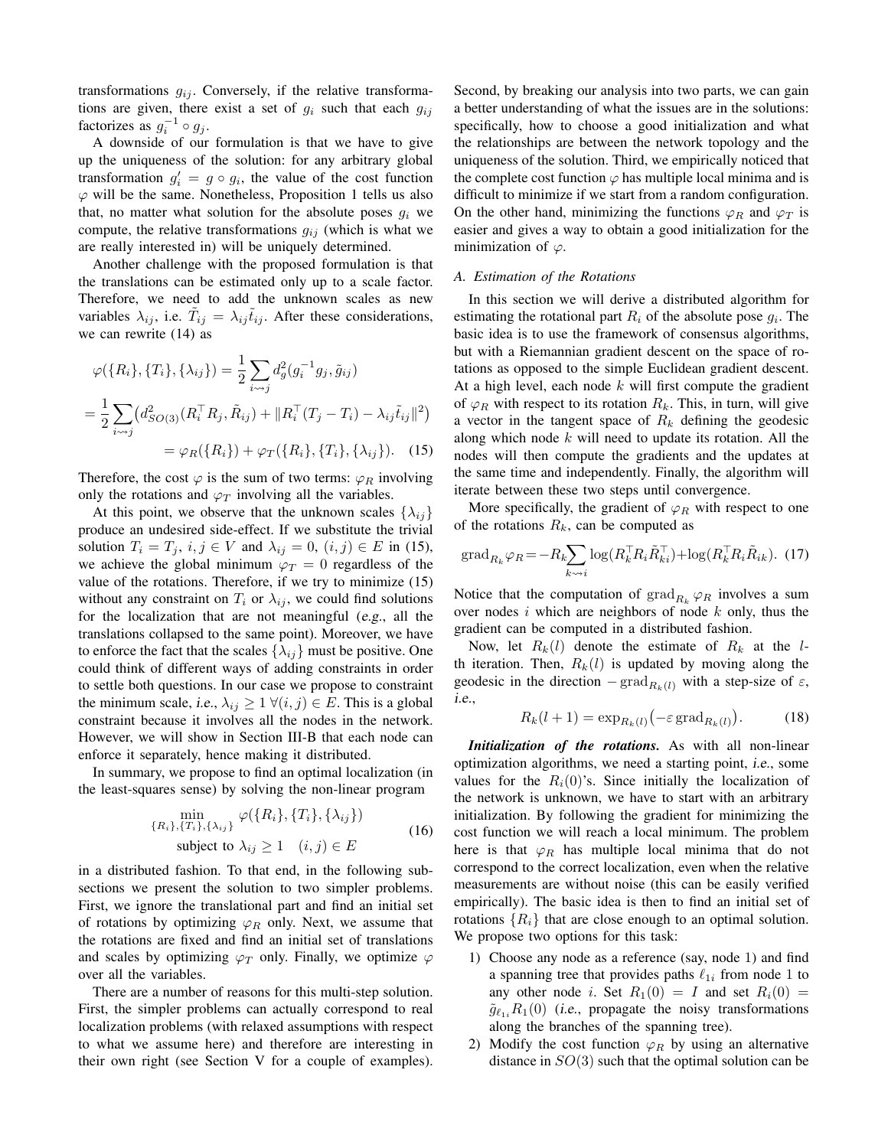transformations  $g_{ij}$ . Conversely, if the relative transformations are given, there exist a set of  $g_i$  such that each  $g_{ij}$ factorizes as  $g_i^{-1} \circ g_j$ .

A downside of our formulation is that we have to give up the uniqueness of the solution: for any arbitrary global transformation  $g'_i = g \circ g_i$ , the value of the cost function  $\varphi$  will be the same. Nonetheless, Proposition 1 tells us also that, no matter what solution for the absolute poses  $g_i$  we compute, the relative transformations  $g_{ij}$  (which is what we are really interested in) will be uniquely determined.

Another challenge with the proposed formulation is that the translations can be estimated only up to a scale factor. Therefore, we need to add the unknown scales as new variables  $\lambda_{ij}$ , i.e.  $\tilde{T}_{ij} = \lambda_{ij} \tilde{t}_{ij}$ . After these considerations, we can rewrite (14) as

$$
\varphi(\{R_i\}, \{T_i\}, \{\lambda_{ij}\}) = \frac{1}{2} \sum_{i \sim j} d_g^2(g_i^{-1} g_j, \tilde{g}_{ij})
$$
  
= 
$$
\frac{1}{2} \sum_{i \sim j} (d_{SO(3)}^2(R_i^{\top} R_j, \tilde{R}_{ij}) + ||R_i^{\top} (T_j - T_i) - \lambda_{ij} \tilde{t}_{ij}||^2)
$$
  
= 
$$
\varphi_R(\{R_i\}) + \varphi_T(\{R_i\}, \{T_i\}, \{\lambda_{ij}\}).
$$
 (15)

Therefore, the cost  $\varphi$  is the sum of two terms:  $\varphi_R$  involving only the rotations and  $\varphi_T$  involving all the variables.

At this point, we observe that the unknown scales  $\{\lambda_{ij}\}\$ produce an undesired side-effect. If we substitute the trivial solution  $T_i = T_j$ ,  $i, j \in V$  and  $\lambda_{ij} = 0$ ,  $(i, j) \in E$  in (15), we achieve the global minimum  $\varphi_T = 0$  regardless of the value of the rotations. Therefore, if we try to minimize (15) without any constraint on  $T_i$  or  $\lambda_{ij}$ , we could find solutions for the localization that are not meaningful (e.g., all the translations collapsed to the same point). Moreover, we have to enforce the fact that the scales  $\{\lambda_{ij}\}$  must be positive. One could think of different ways of adding constraints in order to settle both questions. In our case we propose to constraint the minimum scale, *i.e.*,  $\lambda_{ij} \geq 1 \ \forall (i, j) \in E$ . This is a global constraint because it involves all the nodes in the network. However, we will show in Section III-B that each node can enforce it separately, hence making it distributed.

In summary, we propose to find an optimal localization (in the least-squares sense) by solving the non-linear program

$$
\min_{\{R_i\}, \{T_i\}, \{\lambda_{ij}\}} \varphi(\{R_i\}, \{T_i\}, \{\lambda_{ij}\})
$$
\nsubject to  $\lambda_{ij} \ge 1 \quad (i, j) \in E$ \n(16)

in a distributed fashion. To that end, in the following subsections we present the solution to two simpler problems. First, we ignore the translational part and find an initial set of rotations by optimizing  $\varphi_R$  only. Next, we assume that the rotations are fixed and find an initial set of translations and scales by optimizing  $\varphi_T$  only. Finally, we optimize  $\varphi$ over all the variables.

There are a number of reasons for this multi-step solution. First, the simpler problems can actually correspond to real localization problems (with relaxed assumptions with respect to what we assume here) and therefore are interesting in their own right (see Section V for a couple of examples).

Second, by breaking our analysis into two parts, we can gain a better understanding of what the issues are in the solutions: specifically, how to choose a good initialization and what the relationships are between the network topology and the uniqueness of the solution. Third, we empirically noticed that the complete cost function  $\varphi$  has multiple local minima and is difficult to minimize if we start from a random configuration. On the other hand, minimizing the functions  $\varphi_R$  and  $\varphi_T$  is easier and gives a way to obtain a good initialization for the minimization of  $\varphi$ .

## *A. Estimation of the Rotations*

In this section we will derive a distributed algorithm for estimating the rotational part  $R_i$  of the absolute pose  $g_i$ . The basic idea is to use the framework of consensus algorithms, but with a Riemannian gradient descent on the space of rotations as opposed to the simple Euclidean gradient descent. At a high level, each node  $k$  will first compute the gradient of  $\varphi_R$  with respect to its rotation  $R_k$ . This, in turn, will give a vector in the tangent space of  $R_k$  defining the geodesic along which node  $k$  will need to update its rotation. All the nodes will then compute the gradients and the updates at the same time and independently. Finally, the algorithm will iterate between these two steps until convergence.

More specifically, the gradient of  $\varphi_R$  with respect to one of the rotations  $R_k$ , can be computed as

$$
\operatorname{grad}_{R_k} \varphi_R = -R_k \sum_{k \leadsto i} \log(R_k^\top R_i \tilde{R}_{ki}^\top) + \log(R_k^\top R_i \tilde{R}_{ik}). \tag{17}
$$

Notice that the computation of  $\text{grad}_{R_k} \varphi_R$  involves a sum over nodes  $i$  which are neighbors of node  $k$  only, thus the gradient can be computed in a distributed fashion.

Now, let  $R_k(l)$  denote the estimate of  $R_k$  at the lth iteration. Then,  $R_k(l)$  is updated by moving along the geodesic in the direction  $-\text{grad}_{R_k(l)}$  with a step-size of  $\varepsilon$ , i.e.,

$$
R_k(l+1) = \exp_{R_k(l)}\left(-\varepsilon \operatorname{grad}_{R_k(l)}\right). \tag{18}
$$

*Initialization of the rotations.* As with all non-linear optimization algorithms, we need a starting point, i.e., some values for the  $R_i(0)$ 's. Since initially the localization of the network is unknown, we have to start with an arbitrary initialization. By following the gradient for minimizing the cost function we will reach a local minimum. The problem here is that  $\varphi_R$  has multiple local minima that do not correspond to the correct localization, even when the relative measurements are without noise (this can be easily verified empirically). The basic idea is then to find an initial set of rotations  $\{R_i\}$  that are close enough to an optimal solution. We propose two options for this task:

- 1) Choose any node as a reference (say, node 1) and find a spanning tree that provides paths  $\ell_{1i}$  from node 1 to any other node i. Set  $R_1(0) = I$  and set  $R_i(0) =$  $\tilde{g}_{\ell_1}, R_1(0)$  (i.e., propagate the noisy transformations along the branches of the spanning tree).
- 2) Modify the cost function  $\varphi_R$  by using an alternative distance in  $SO(3)$  such that the optimal solution can be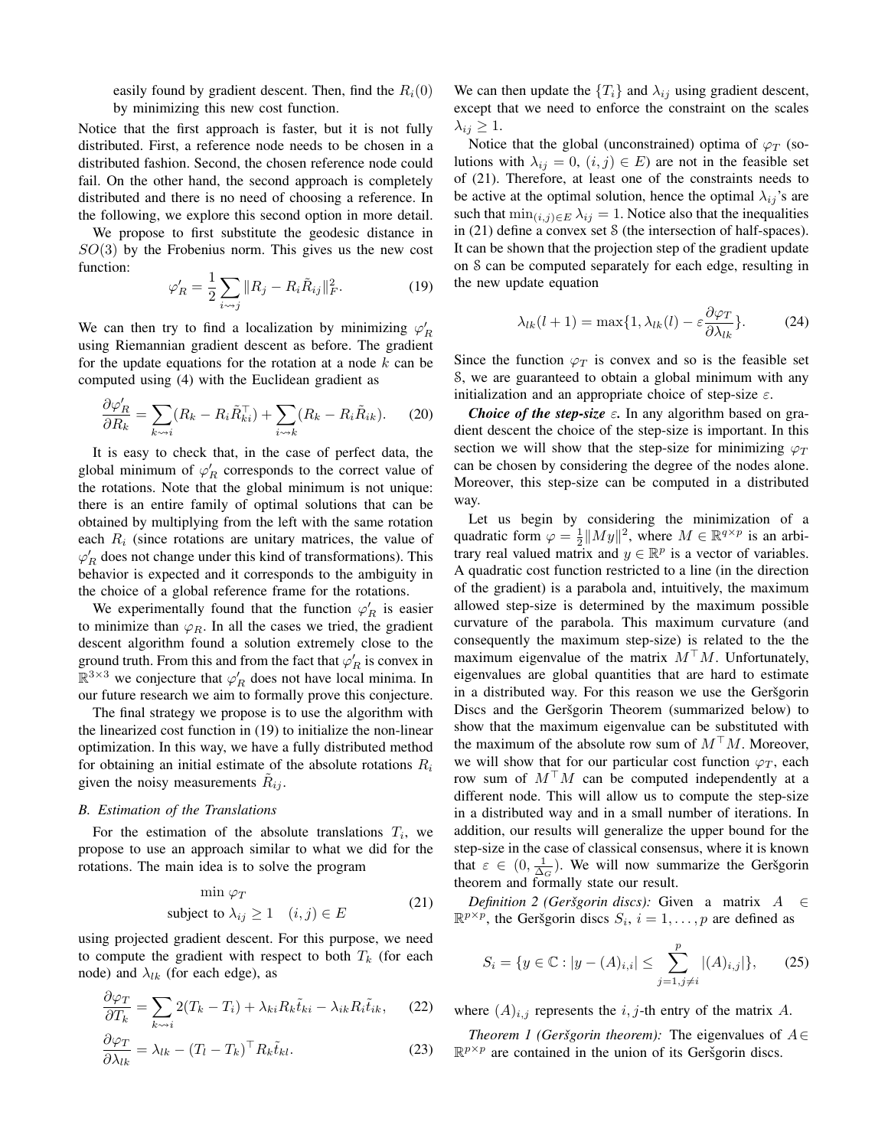easily found by gradient descent. Then, find the  $R_i(0)$ by minimizing this new cost function.

Notice that the first approach is faster, but it is not fully distributed. First, a reference node needs to be chosen in a distributed fashion. Second, the chosen reference node could fail. On the other hand, the second approach is completely distributed and there is no need of choosing a reference. In the following, we explore this second option in more detail.

We propose to first substitute the geodesic distance in  $SO(3)$  by the Frobenius norm. This gives us the new cost function:

$$
\varphi_R' = \frac{1}{2} \sum_{i \sim j} ||R_j - R_i \tilde{R}_{ij}||_F^2. \tag{19}
$$

We can then try to find a localization by minimizing  $\varphi'_R$ using Riemannian gradient descent as before. The gradient for the update equations for the rotation at a node  $k$  can be computed using (4) with the Euclidean gradient as

$$
\frac{\partial \varphi'_R}{\partial R_k} = \sum_{k \leadsto i} (R_k - R_i \tilde{R}_{ki}^\top) + \sum_{i \leadsto k} (R_k - R_i \tilde{R}_{ik}). \tag{20}
$$

It is easy to check that, in the case of perfect data, the global minimum of  $\varphi'_R$  corresponds to the correct value of the rotations. Note that the global minimum is not unique: there is an entire family of optimal solutions that can be obtained by multiplying from the left with the same rotation each  $R_i$  (since rotations are unitary matrices, the value of  $\varphi'_R$  does not change under this kind of transformations). This behavior is expected and it corresponds to the ambiguity in the choice of a global reference frame for the rotations.

We experimentally found that the function  $\varphi'_R$  is easier to minimize than  $\varphi_R$ . In all the cases we tried, the gradient descent algorithm found a solution extremely close to the ground truth. From this and from the fact that  $\varphi'_R$  is convex in  $\mathbb{R}^{3\times 3}$  we conjecture that  $\varphi'_R$  does not have local minima. In our future research we aim to formally prove this conjecture.

The final strategy we propose is to use the algorithm with the linearized cost function in (19) to initialize the non-linear optimization. In this way, we have a fully distributed method for obtaining an initial estimate of the absolute rotations  $R_i$ given the noisy measurements  $R_{ij}$ .

#### *B. Estimation of the Translations*

For the estimation of the absolute translations  $T_i$ , we propose to use an approach similar to what we did for the rotations. The main idea is to solve the program

$$
\min \varphi_T
$$
\nsubject to  $\lambda_{ij} \ge 1$   $(i, j) \in E$  (21)

using projected gradient descent. For this purpose, we need to compute the gradient with respect to both  $T_k$  (for each node) and  $\lambda_{lk}$  (for each edge), as

$$
\frac{\partial \varphi_T}{\partial T_k} = \sum_{k \leadsto i} 2(T_k - T_i) + \lambda_{ki} R_k \tilde{t}_{ki} - \lambda_{ik} R_i \tilde{t}_{ik}, \qquad (22)
$$

$$
\frac{\partial \varphi_T}{\partial \lambda_{lk}} = \lambda_{lk} - (T_l - T_k)^\top R_k \tilde{t}_{kl}.
$$
\n(23)

We can then update the  $\{T_i\}$  and  $\lambda_{ij}$  using gradient descent, except that we need to enforce the constraint on the scales  $\lambda_{ij} \geq 1$ .

Notice that the global (unconstrained) optima of  $\varphi_T$  (solutions with  $\lambda_{ij} = 0$ ,  $(i, j) \in E$ ) are not in the feasible set of (21). Therefore, at least one of the constraints needs to be active at the optimal solution, hence the optimal  $\lambda_{ij}$ 's are such that  $\min_{(i,j)\in E} \lambda_{ij} = 1$ . Notice also that the inequalities in (21) define a convex set S (the intersection of half-spaces). It can be shown that the projection step of the gradient update on S can be computed separately for each edge, resulting in the new update equation

$$
\lambda_{lk}(l+1) = \max\{1, \lambda_{lk}(l) - \varepsilon \frac{\partial \varphi_T}{\partial \lambda_{lk}}\}.
$$
 (24)

Since the function  $\varphi_T$  is convex and so is the feasible set S, we are guaranteed to obtain a global minimum with any initialization and an appropriate choice of step-size  $\varepsilon$ .

*Choice of the step-size*  $\varepsilon$ . In any algorithm based on gradient descent the choice of the step-size is important. In this section we will show that the step-size for minimizing  $\varphi_T$ can be chosen by considering the degree of the nodes alone. Moreover, this step-size can be computed in a distributed way.

Let us begin by considering the minimization of a quadratic form  $\varphi = \frac{1}{2} ||My||^2$ , where  $M \in \mathbb{R}^{q \times p}$  is an arbitrary real valued matrix and  $y \in \mathbb{R}^p$  is a vector of variables. A quadratic cost function restricted to a line (in the direction of the gradient) is a parabola and, intuitively, the maximum allowed step-size is determined by the maximum possible curvature of the parabola. This maximum curvature (and consequently the maximum step-size) is related to the the maximum eigenvalue of the matrix  $M<sup>T</sup>M$ . Unfortunately, eigenvalues are global quantities that are hard to estimate in a distributed way. For this reason we use the Geršgorin Discs and the Geršgorin Theorem (summarized below) to show that the maximum eigenvalue can be substituted with the maximum of the absolute row sum of  $M<sup>T</sup>M$ . Moreover, we will show that for our particular cost function  $\varphi_T$ , each row sum of  $M^{\top}M$  can be computed independently at a different node. This will allow us to compute the step-size in a distributed way and in a small number of iterations. In addition, our results will generalize the upper bound for the step-size in the case of classical consensus, where it is known that  $\varepsilon \in (0, \frac{1}{\Delta_G})$ . We will now summarize the Geršgorin theorem and formally state our result.

*Definition 2 (Geršgorin discs):* Given a matrix  $A \in$  $\mathbb{R}^{p \times p}$ , the Geršgorin discs  $S_i$ ,  $i = 1, \dots, p$  are defined as

$$
S_i = \{ y \in \mathbb{C} : |y - (A)_{i,i}| \le \sum_{j=1, j \ne i}^p |(A)_{i,j}| \},\qquad(25)
$$

where  $(A)_{i,j}$  represents the  $i, j$ -th entry of the matrix A.

*Theorem 1 (Geršgorin theorem):* The eigenvalues of  $A \in$  $\mathbb{R}^{p \times p}$  are contained in the union of its Geršgorin discs.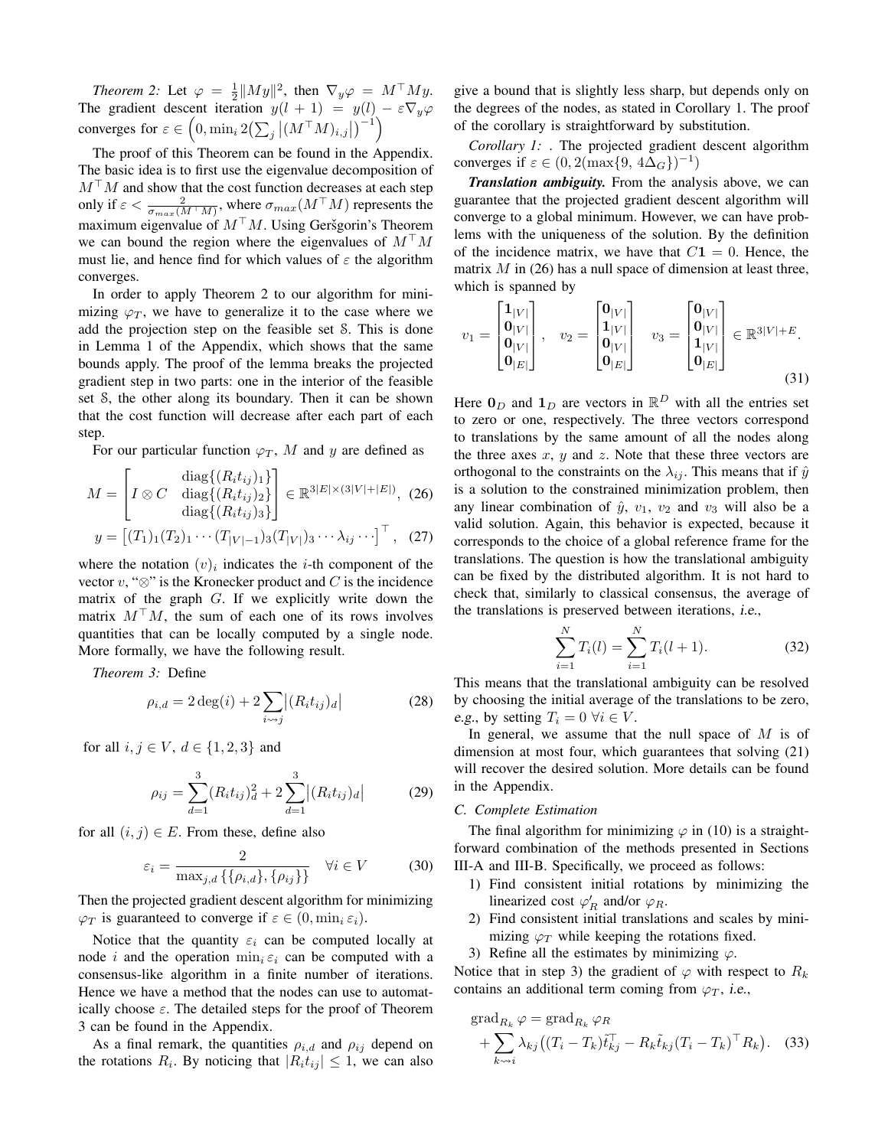*Theorem 2:* Let  $\varphi = \frac{1}{2} ||My||^2$ , then  $\nabla_y \varphi = M^\top My$ . The gradient descent iteration  $y(l + 1) = y(l) - \varepsilon \nabla_y \varphi$ converges for  $\varepsilon \in \left(0, \min_i 2\left(\sum_j \left| (M^\top M)_{i,j} \right| \right)^{-1} \right)$ 

The proof of this Theorem can be found in the Appendix. The basic idea is to first use the eigenvalue decomposition of  $M<sup>+</sup>M$  and show that the cost function decreases at each step only if  $\varepsilon < \frac{2}{\sigma_{max}(M^{\top}M)}$ , where  $\sigma_{max}(M^{\top}M)$  represents the maximum eigenvalue of  $M<sup>T</sup>M$ . Using Geršgorin's Theorem we can bound the region where the eigenvalues of  $M<sup>T</sup>M$ must lie, and hence find for which values of  $\varepsilon$  the algorithm converges.

In order to apply Theorem 2 to our algorithm for minimizing  $\varphi_T$ , we have to generalize it to the case where we add the projection step on the feasible set S. This is done in Lemma 1 of the Appendix, which shows that the same bounds apply. The proof of the lemma breaks the projected gradient step in two parts: one in the interior of the feasible set S, the other along its boundary. Then it can be shown that the cost function will decrease after each part of each step.

For our particular function  $\varphi_T$ , M and y are defined as

$$
M = \begin{bmatrix} \text{diag}\{(R_i t_{ij})_1\} \\ I \otimes C & \text{diag}\{(R_i t_{ij})_2\} \\ \text{diag}\{(R_i t_{ij})_3\} \end{bmatrix} \in \mathbb{R}^{3|E| \times (3|V| + |E|)}, \quad (26)
$$

$$
y = \begin{bmatrix} (T_1)_1 (T_2)_1 \cdots (T_{|V|-1})_3 (T_{|V|})_3 \cdots \lambda_{ij} \cdots \end{bmatrix}^\top, \quad (27)
$$

where the notation  $(v)_i$  indicates the *i*-th component of the vector  $v$ , " $\otimes$ " is the Kronecker product and C is the incidence matrix of the graph G. If we explicitly write down the matrix  $M<sup>T</sup>M$ , the sum of each one of its rows involves quantities that can be locally computed by a single node. More formally, we have the following result.

*Theorem 3:* Define

$$
\rho_{i,d} = 2 \deg(i) + 2 \sum_{i \sim j} |(R_i t_{ij})_d| \tag{28}
$$

for all  $i, j \in V$ ,  $d \in \{1, 2, 3\}$  and

$$
\rho_{ij} = \sum_{d=1}^{3} (R_i t_{ij})_d^2 + 2 \sum_{d=1}^{3} |(R_i t_{ij})_d|
$$
\n(29)

for all  $(i, j) \in E$ . From these, define also

$$
\varepsilon_i = \frac{2}{\max_{j,d} \{ \{\rho_{i,d}\}, \{\rho_{ij}\} \}} \quad \forall i \in V \tag{30}
$$

Then the projected gradient descent algorithm for minimizing  $\varphi_T$  is guaranteed to converge if  $\varepsilon \in (0, \min_i \varepsilon_i)$ .

Notice that the quantity  $\varepsilon_i$  can be computed locally at node *i* and the operation  $\min_i \varepsilon_i$  can be computed with a consensus-like algorithm in a finite number of iterations. Hence we have a method that the nodes can use to automatically choose  $\varepsilon$ . The detailed steps for the proof of Theorem 3 can be found in the Appendix.

As a final remark, the quantities  $\rho_{i,d}$  and  $\rho_{ij}$  depend on the rotations  $R_i$ . By noticing that  $|R_i t_{ij}| \leq 1$ , we can also

give a bound that is slightly less sharp, but depends only on the degrees of the nodes, as stated in Corollary 1. The proof of the corollary is straightforward by substitution.

*Corollary 1:* . The projected gradient descent algorithm converges if  $\varepsilon \in (0, 2(\max\{9, 4\Delta_G\})^{-1})$ 

*Translation ambiguity.* From the analysis above, we can guarantee that the projected gradient descent algorithm will converge to a global minimum. However, we can have problems with the uniqueness of the solution. By the definition of the incidence matrix, we have that  $C1 = 0$ . Hence, the matrix  $M$  in (26) has a null space of dimension at least three, which is spanned by

$$
v_1 = \begin{bmatrix} 1_{|V|} \\ 0_{|V|} \\ 0_{|V|} \\ 0_{|E|} \end{bmatrix}, \quad v_2 = \begin{bmatrix} 0_{|V|} \\ 1_{|V|} \\ 0_{|V|} \\ 0_{|E|} \end{bmatrix} \quad v_3 = \begin{bmatrix} 0_{|V|} \\ 0_{|V|} \\ 1_{|V|} \\ 0_{|E|} \end{bmatrix} \in \mathbb{R}^{3|V|+E}.
$$
\n(31)

Here  $\mathbf{0}_D$  and  $\mathbf{1}_D$  are vectors in  $\mathbb{R}^D$  with all the entries set to zero or one, respectively. The three vectors correspond to translations by the same amount of all the nodes along the three axes  $x$ ,  $y$  and  $z$ . Note that these three vectors are orthogonal to the constraints on the  $\lambda_{ij}$ . This means that if  $\hat{y}$ is a solution to the constrained minimization problem, then any linear combination of  $\hat{y}$ ,  $v_1$ ,  $v_2$  and  $v_3$  will also be a valid solution. Again, this behavior is expected, because it corresponds to the choice of a global reference frame for the translations. The question is how the translational ambiguity can be fixed by the distributed algorithm. It is not hard to check that, similarly to classical consensus, the average of the translations is preserved between iterations, i.e.,

$$
\sum_{i=1}^{N} T_i(l) = \sum_{i=1}^{N} T_i(l+1).
$$
 (32)

This means that the translational ambiguity can be resolved by choosing the initial average of the translations to be zero, e.g., by setting  $T_i = 0 \ \forall i \in V$ .

In general, we assume that the null space of  $M$  is of dimension at most four, which guarantees that solving (21) will recover the desired solution. More details can be found in the Appendix.

#### *C. Complete Estimation*

The final algorithm for minimizing  $\varphi$  in (10) is a straightforward combination of the methods presented in Sections III-A and III-B. Specifically, we proceed as follows:

- 1) Find consistent initial rotations by minimizing the linearized cost  $\varphi'_R$  and/or  $\varphi_R$ .
- 2) Find consistent initial translations and scales by minimizing  $\varphi_T$  while keeping the rotations fixed.
- 3) Refine all the estimates by minimizing  $\varphi$ .

Notice that in step 3) the gradient of  $\varphi$  with respect to  $R_k$ contains an additional term coming from  $\varphi_T$ , i.e.,

$$
\operatorname{grad}_{R_k} \varphi = \operatorname{grad}_{R_k} \varphi_R + \sum_{k \leadsto i} \lambda_{kj} \big( (T_i - T_k) \tilde{t}_{kj}^\top - R_k \tilde{t}_{kj} (T_i - T_k)^\top R_k \big). \quad (33)
$$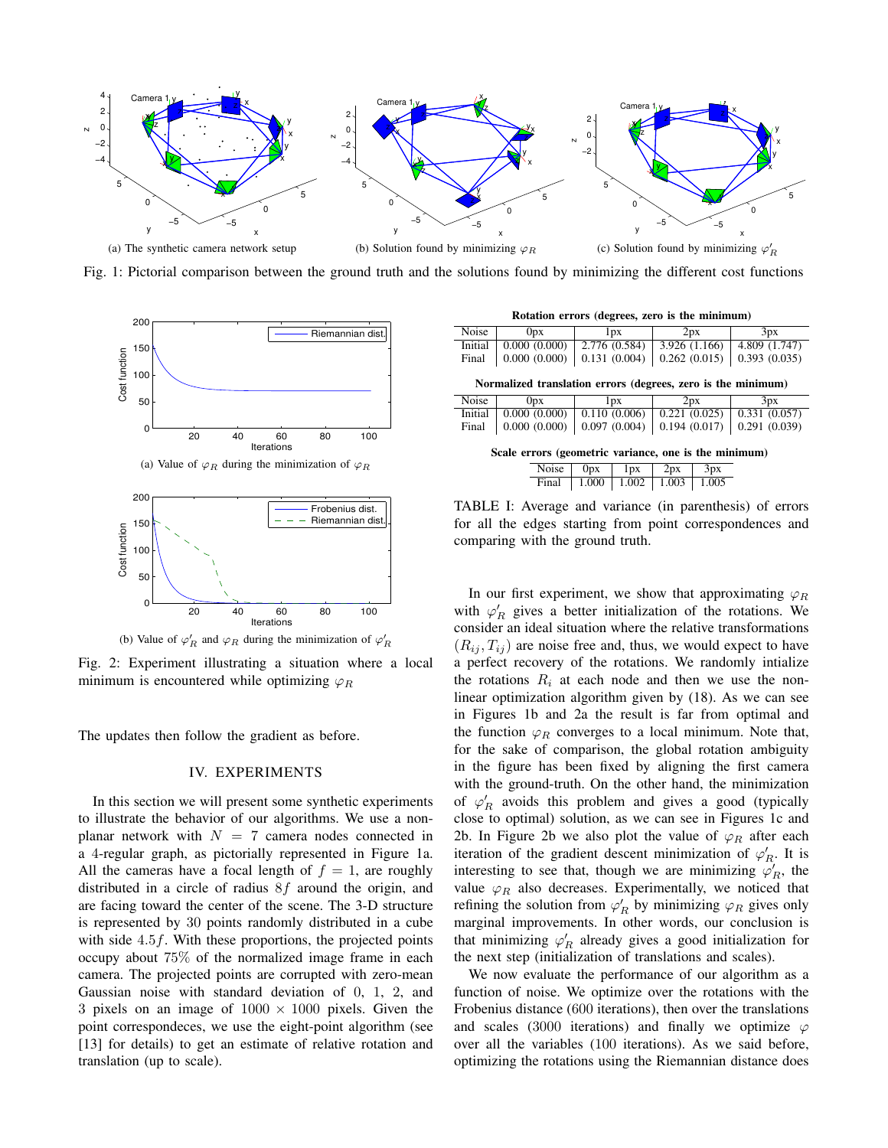

Fig. 1: Pictorial comparison between the ground truth and the solutions found by minimizing the different cost functions



(a) Value of  $\varphi_R$  during the minimization of  $\varphi_R$ 



Fig. 2: Experiment illustrating a situation where a local minimum is encountered while optimizing  $\varphi_R$ 

The updates then follow the gradient as before.

#### IV. EXPERIMENTS

In this section we will present some synthetic experiments to illustrate the behavior of our algorithms. We use a nonplanar network with  $N = 7$  camera nodes connected in a 4-regular graph, as pictorially represented in Figure 1a. All the cameras have a focal length of  $f = 1$ , are roughly distributed in a circle of radius 8f around the origin, and are facing toward the center of the scene. The 3-D structure is represented by 30 points randomly distributed in a cube with side 4.5f. With these proportions, the projected points occupy about 75% of the normalized image frame in each camera. The projected points are corrupted with zero-mean Gaussian noise with standard deviation of 0, 1, 2, and 3 pixels on an image of  $1000 \times 1000$  pixels. Given the point correspondeces, we use the eight-point algorithm (see [13] for details) to get an estimate of relative rotation and translation (up to scale).

| Rotation errors (degrees, zero is the minimum) |  |  |  |  |  |  |
|------------------------------------------------|--|--|--|--|--|--|
|------------------------------------------------|--|--|--|--|--|--|

| Noise                                                        | 0px          | l px                   | 2px           | 3px           |  |  |  |  |  |  |
|--------------------------------------------------------------|--------------|------------------------|---------------|---------------|--|--|--|--|--|--|
| Initial                                                      | 0.000(0.000) | 2.776 (0.584)          | 3.926 (1.166) | 4.809 (1.747) |  |  |  |  |  |  |
| Final                                                        | 0.000(0.000) | 0.131(0.004)           | 0.262(0.015)  | 0.393(0.035)  |  |  |  |  |  |  |
| Normalized translation errors (degrees, zero is the minimum) |              |                        |               |               |  |  |  |  |  |  |
| Noise                                                        | 0px          | 1px                    | 2px           | 3px           |  |  |  |  |  |  |
| Initial                                                      | 0.000(0.000) | 0.110(0.006)           | 0.221(0.025)  | 0.331(0.057)  |  |  |  |  |  |  |
| Final                                                        | 0.000(0.000) | 0.097(0.004)           | 0.194(0.017)  | 0.291(0.039)  |  |  |  |  |  |  |
| Scale errors (geometric variance, one is the minimum)        |              |                        |               |               |  |  |  |  |  |  |
|                                                              | Noise        | 0 <sub>px</sub><br>1px | 3px<br>2px    |               |  |  |  |  |  |  |

TABLE I: Average and variance (in parenthesis) of errors for all the edges starting from point correspondences and comparing with the ground truth.

Final | 1.000 | 1.002 | 1.003 | 1.005

In our first experiment, we show that approximating  $\varphi_R$ with  $\varphi'_R$  gives a better initialization of the rotations. We consider an ideal situation where the relative transformations  $(R_{ij}, T_{ij})$  are noise free and, thus, we would expect to have a perfect recovery of the rotations. We randomly intialize the rotations  $R_i$  at each node and then we use the nonlinear optimization algorithm given by (18). As we can see in Figures 1b and 2a the result is far from optimal and the function  $\varphi_R$  converges to a local minimum. Note that, for the sake of comparison, the global rotation ambiguity in the figure has been fixed by aligning the first camera with the ground-truth. On the other hand, the minimization of  $\varphi'_R$  avoids this problem and gives a good (typically close to optimal) solution, as we can see in Figures 1c and 2b. In Figure 2b we also plot the value of  $\varphi_R$  after each iteration of the gradient descent minimization of  $\varphi_R'$ . It is interesting to see that, though we are minimizing  $\varphi'_R$ , the value  $\varphi_R$  also decreases. Experimentally, we noticed that refining the solution from  $\varphi'_R$  by minimizing  $\varphi_R$  gives only marginal improvements. In other words, our conclusion is that minimizing  $\varphi'_R$  already gives a good initialization for the next step (initialization of translations and scales).

We now evaluate the performance of our algorithm as a function of noise. We optimize over the rotations with the Frobenius distance (600 iterations), then over the translations and scales (3000 iterations) and finally we optimize  $\varphi$ over all the variables (100 iterations). As we said before, optimizing the rotations using the Riemannian distance does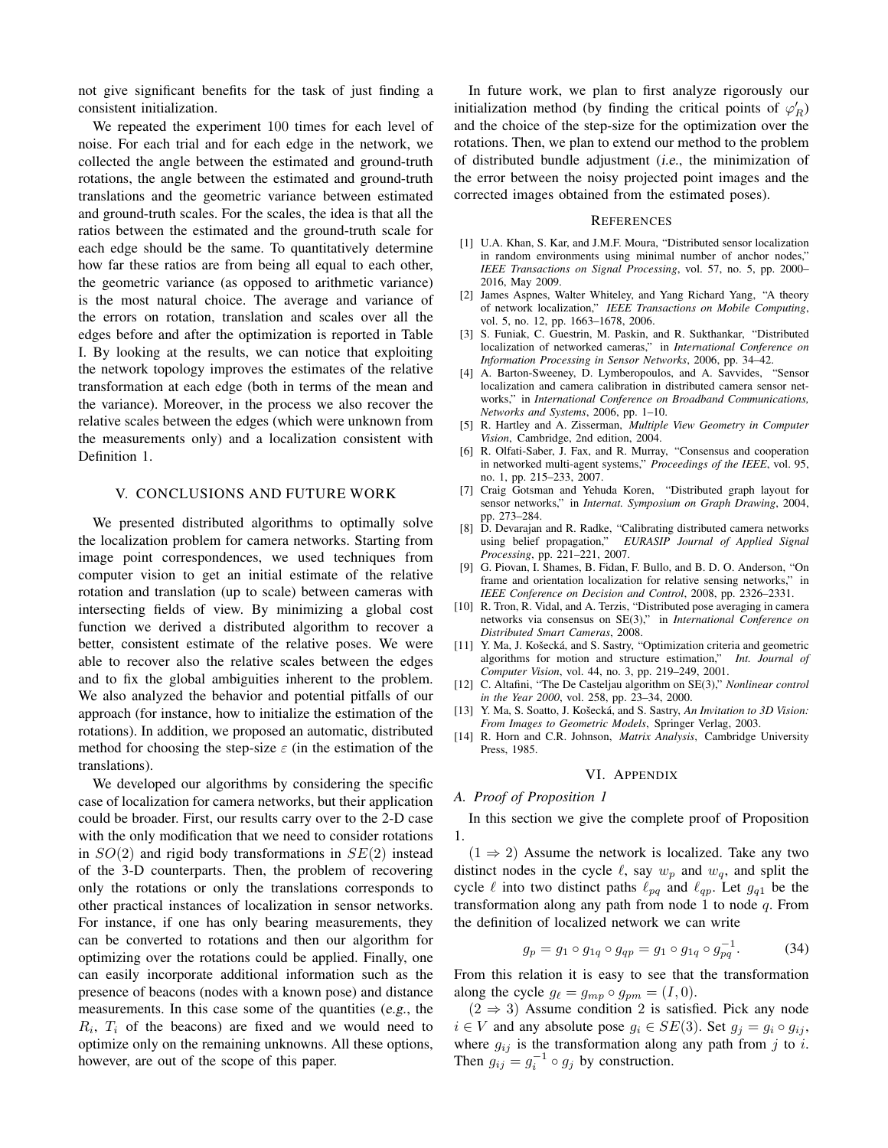not give significant benefits for the task of just finding a consistent initialization.

We repeated the experiment 100 times for each level of noise. For each trial and for each edge in the network, we collected the angle between the estimated and ground-truth rotations, the angle between the estimated and ground-truth translations and the geometric variance between estimated and ground-truth scales. For the scales, the idea is that all the ratios between the estimated and the ground-truth scale for each edge should be the same. To quantitatively determine how far these ratios are from being all equal to each other, the geometric variance (as opposed to arithmetic variance) is the most natural choice. The average and variance of the errors on rotation, translation and scales over all the edges before and after the optimization is reported in Table I. By looking at the results, we can notice that exploiting the network topology improves the estimates of the relative transformation at each edge (both in terms of the mean and the variance). Moreover, in the process we also recover the relative scales between the edges (which were unknown from the measurements only) and a localization consistent with Definition 1.

## V. CONCLUSIONS AND FUTURE WORK

We presented distributed algorithms to optimally solve the localization problem for camera networks. Starting from image point correspondences, we used techniques from computer vision to get an initial estimate of the relative rotation and translation (up to scale) between cameras with intersecting fields of view. By minimizing a global cost function we derived a distributed algorithm to recover a better, consistent estimate of the relative poses. We were able to recover also the relative scales between the edges and to fix the global ambiguities inherent to the problem. We also analyzed the behavior and potential pitfalls of our approach (for instance, how to initialize the estimation of the rotations). In addition, we proposed an automatic, distributed method for choosing the step-size  $\varepsilon$  (in the estimation of the translations).

We developed our algorithms by considering the specific case of localization for camera networks, but their application could be broader. First, our results carry over to the 2-D case with the only modification that we need to consider rotations in  $SO(2)$  and rigid body transformations in  $SE(2)$  instead of the 3-D counterparts. Then, the problem of recovering only the rotations or only the translations corresponds to other practical instances of localization in sensor networks. For instance, if one has only bearing measurements, they can be converted to rotations and then our algorithm for optimizing over the rotations could be applied. Finally, one can easily incorporate additional information such as the presence of beacons (nodes with a known pose) and distance measurements. In this case some of the quantities (e.g., the  $R_i$ ,  $T_i$  of the beacons) are fixed and we would need to optimize only on the remaining unknowns. All these options, however, are out of the scope of this paper.

In future work, we plan to first analyze rigorously our initialization method (by finding the critical points of  $\varphi'_R$ ) and the choice of the step-size for the optimization over the rotations. Then, we plan to extend our method to the problem of distributed bundle adjustment (i.e., the minimization of the error between the noisy projected point images and the corrected images obtained from the estimated poses).

#### REFERENCES

- [1] U.A. Khan, S. Kar, and J.M.F. Moura, "Distributed sensor localization in random environments using minimal number of anchor nodes," *IEEE Transactions on Signal Processing*, vol. 57, no. 5, pp. 2000– 2016, May 2009.
- [2] James Aspnes, Walter Whiteley, and Yang Richard Yang, "A theory of network localization," *IEEE Transactions on Mobile Computing*, vol. 5, no. 12, pp. 1663–1678, 2006.
- [3] S. Funiak, C. Guestrin, M. Paskin, and R. Sukthankar, "Distributed localization of networked cameras," in *International Conference on Information Processing in Sensor Networks*, 2006, pp. 34–42.
- [4] A. Barton-Sweeney, D. Lymberopoulos, and A. Savvides, "Sensor localization and camera calibration in distributed camera sensor networks," in *International Conference on Broadband Communications, Networks and Systems*, 2006, pp. 1–10.
- [5] R. Hartley and A. Zisserman, *Multiple View Geometry in Computer Vision*, Cambridge, 2nd edition, 2004.
- [6] R. Olfati-Saber, J. Fax, and R. Murray, "Consensus and cooperation in networked multi-agent systems," *Proceedings of the IEEE*, vol. 95, no. 1, pp. 215–233, 2007.
- [7] Craig Gotsman and Yehuda Koren, "Distributed graph layout for sensor networks," in *Internat. Symposium on Graph Drawing*, 2004, pp. 273–284.
- [8] D. Devarajan and R. Radke, "Calibrating distributed camera networks using belief propagation," *EURASIP Journal of Applied Signal Processing*, pp. 221–221, 2007.
- [9] G. Piovan, I. Shames, B. Fidan, F. Bullo, and B. D. O. Anderson, "On frame and orientation localization for relative sensing networks," in *IEEE Conference on Decision and Control*, 2008, pp. 2326–2331.
- [10] R. Tron, R. Vidal, and A. Terzis, "Distributed pose averaging in camera networks via consensus on SE(3)," in *International Conference on Distributed Smart Cameras*, 2008.
- [11] Y. Ma, J. Košecká, and S. Sastry, "Optimization criteria and geometric algorithms for motion and structure estimation," *Int. Journal of Computer Vision*, vol. 44, no. 3, pp. 219–249, 2001.
- [12] C. Altafini, "The De Casteljau algorithm on SE(3)," *Nonlinear control in the Year 2000*, vol. 258, pp. 23–34, 2000.
- [13] Y. Ma, S. Soatto, J. Košecká, and S. Sastry, An Invitation to 3D Vision: *From Images to Geometric Models*, Springer Verlag, 2003.
- [14] R. Horn and C.R. Johnson, *Matrix Analysis*, Cambridge University Press, 1985.

#### VI. APPENDIX

#### *A. Proof of Proposition 1*

In this section we give the complete proof of Proposition 1.

 $(1 \Rightarrow 2)$  Assume the network is localized. Take any two distinct nodes in the cycle  $\ell$ , say  $w_p$  and  $w_q$ , and split the cycle  $\ell$  into two distinct paths  $\ell_{pq}$  and  $\ell_{qp}$ . Let  $g_{q1}$  be the transformation along any path from node 1 to node  $q$ . From the definition of localized network we can write

$$
g_p = g_1 \circ g_{1q} \circ g_{qp} = g_1 \circ g_{1q} \circ g_{pq}^{-1}.
$$
 (34)

From this relation it is easy to see that the transformation along the cycle  $g_{\ell} = g_{mp} \circ g_{pm} = (I, 0).$ 

 $(2 \Rightarrow 3)$  Assume condition 2 is satisfied. Pick any node  $i \in V$  and any absolute pose  $g_i \in SE(3)$ . Set  $g_j = g_i \circ g_{ij}$ , where  $g_{ij}$  is the transformation along any path from j to i. Then  $g_{ij} = g_i^{-1} \circ g_j$  by construction.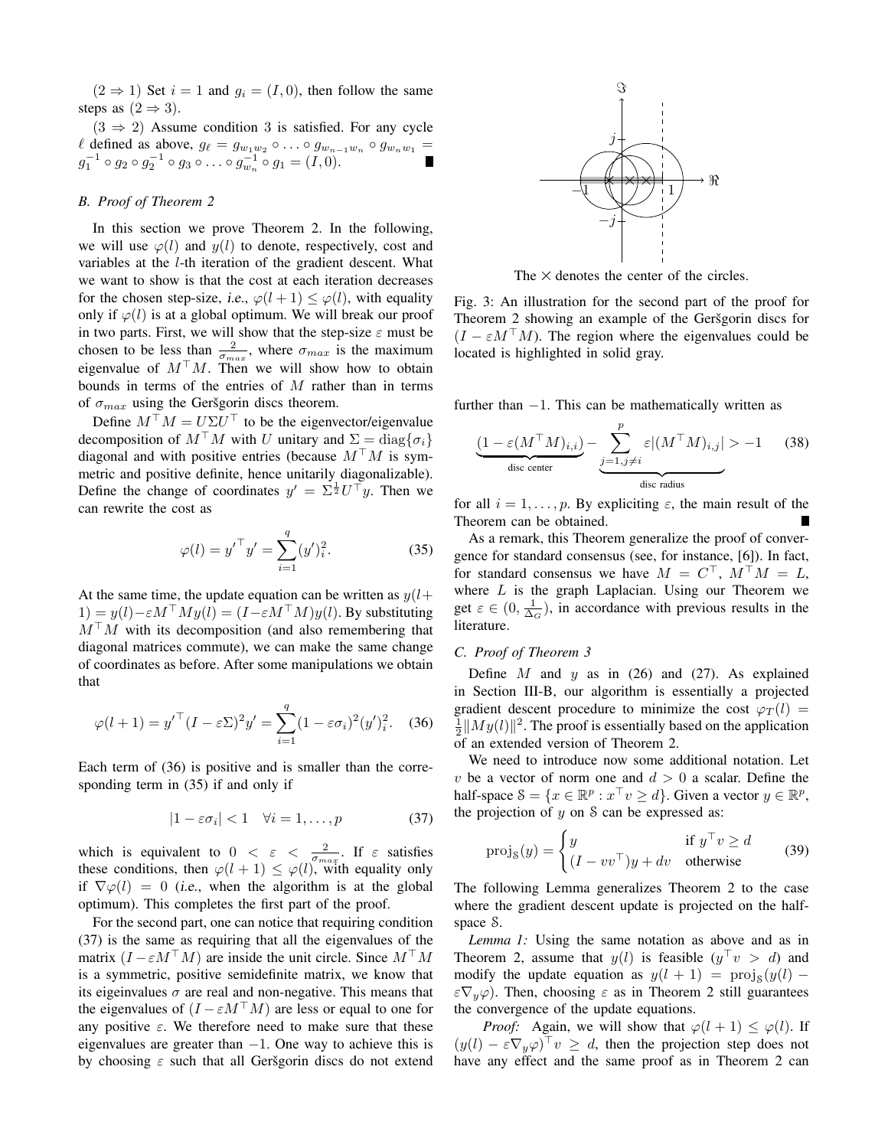$(2 \Rightarrow 1)$  Set  $i = 1$  and  $g_i = (I, 0)$ , then follow the same steps as  $(2 \Rightarrow 3)$ .

 $(3 \Rightarrow 2)$  Assume condition 3 is satisfied. For any cycle  $\ell$  defined as above,  $g_{\ell} = g_{w_1w_2} \circ \ldots \circ g_{w_{n-1}w_n} \circ g_{w_nw_1} =$  $g_1^{-1} \circ g_2 \circ g_2^{-1} \circ g_3 \circ \ldots \circ g_{w_n}^{-1} \circ g_1 = (I, 0).$ 

## *B. Proof of Theorem 2*

In this section we prove Theorem 2. In the following, we will use  $\varphi(l)$  and  $y(l)$  to denote, respectively, cost and variables at the l-th iteration of the gradient descent. What we want to show is that the cost at each iteration decreases for the chosen step-size, *i.e.*,  $\varphi(l+1) \leq \varphi(l)$ , with equality only if  $\varphi(l)$  is at a global optimum. We will break our proof in two parts. First, we will show that the step-size  $\varepsilon$  must be chosen to be less than  $\frac{2}{\sigma_{max}}$ , where  $\sigma_{max}$  is the maximum eigenvalue of  $M<sup>T</sup>M$ . Then we will show how to obtain bounds in terms of the entries of M rather than in terms of  $\sigma_{max}$  using the Geršgorin discs theorem.

Define  $M^{\top} M = U \Sigma U^{\top}$  to be the eigenvector/eigenvalue decomposition of  $M^{\top}M$  with U unitary and  $\Sigma = \text{diag}\{\sigma_i\}$ diagonal and with positive entries (because  $M<sup>T</sup>M$  is symmetric and positive definite, hence unitarily diagonalizable). Define the change of coordinates  $y' = \sum \frac{1}{2} U^{\top} y$ . Then we can rewrite the cost as

$$
\varphi(l) = {y'}^\top y' = \sum_{i=1}^q (y')_i^2. \tag{35}
$$

At the same time, the update equation can be written as  $y(l+$  $1) = y(l) - \varepsilon M^{\top} M y(l) = (I - \varepsilon M^{\top} M) y(l)$ . By substituting  $M<sup>T</sup>M$  with its decomposition (and also remembering that diagonal matrices commute), we can make the same change of coordinates as before. After some manipulations we obtain that

$$
\varphi(l+1) = {y'}^\top (I - \varepsilon \Sigma)^2 y' = \sum_{i=1}^q (1 - \varepsilon \sigma_i)^2 (y')_i^2.
$$
 (36)

Each term of (36) is positive and is smaller than the corresponding term in (35) if and only if

$$
|1 - \varepsilon \sigma_i| < 1 \quad \forall i = 1, \dots, p \tag{37}
$$

which is equivalent to  $0 < \varepsilon < \frac{2}{\sqrt{\sigma_{max}}}$ . If  $\varepsilon$  satisfies these conditions, then  $\varphi(l+1) \leq \varphi(l)$ , with equality only if  $\nabla \varphi(l) = 0$  (*i.e.*, when the algorithm is at the global optimum). This completes the first part of the proof.

For the second part, one can notice that requiring condition (37) is the same as requiring that all the eigenvalues of the matrix  $(I - \varepsilon M^{\top}M)$  are inside the unit circle. Since  $M^{\top}M$ is a symmetric, positive semidefinite matrix, we know that its eigeinvalues  $\sigma$  are real and non-negative. This means that the eigenvalues of  $(I - \varepsilon M^{\top}M)$  are less or equal to one for any positive  $\varepsilon$ . We therefore need to make sure that these eigenvalues are greater than  $-1$ . One way to achieve this is by choosing  $\varepsilon$  such that all Geršgorin discs do not extend



The  $\times$  denotes the center of the circles.

Fig. 3: An illustration for the second part of the proof for Theorem 2 showing an example of the Geršgorin discs for  $(I - \varepsilon M^{\top} M)$ . The region where the eigenvalues could be located is highlighted in solid gray.

further than  $-1$ . This can be mathematically written as

$$
\underbrace{(1 - \varepsilon(M^{\top}M)_{i,i})}_{\text{disc center}} - \underbrace{\sum_{j=1, j \neq i}^{p} \varepsilon |(M^{\top}M)_{i,j}| > -1}_{\text{disc radius}}
$$
(38)

for all  $i = 1, \ldots, p$ . By expliciting  $\varepsilon$ , the main result of the Theorem can be obtained.

As a remark, this Theorem generalize the proof of convergence for standard consensus (see, for instance, [6]). In fact, for standard consensus we have  $M = C^{\top}$ ,  $M^{\top}M = L$ , where  $L$  is the graph Laplacian. Using our Theorem we get  $\varepsilon \in (0, \frac{1}{\Delta_G})$ , in accordance with previous results in the literature.

## *C. Proof of Theorem 3*

Define  $M$  and  $y$  as in (26) and (27). As explained in Section III-B, our algorithm is essentially a projected gradient descent procedure to minimize the cost  $\varphi_T(l)$  =  $\frac{1}{2}||My(l)||^2$ . The proof is essentially based on the application of an extended version of Theorem 2.

We need to introduce now some additional notation. Let v be a vector of norm one and  $d > 0$  a scalar. Define the half-space  $\mathcal{S} = \{x \in \mathbb{R}^p : x^\top v \ge d\}$ . Given a vector  $y \in \mathbb{R}^p$ , the projection of  $y$  on  $S$  can be expressed as:

$$
\text{proj}_{\mathcal{S}}(y) = \begin{cases} y & \text{if } y^{\top} v \ge d \\ (I - vv^{\top})y + dv & \text{otherwise} \end{cases}
$$
(39)

The following Lemma generalizes Theorem 2 to the case where the gradient descent update is projected on the halfspace S.

*Lemma 1:* Using the same notation as above and as in Theorem 2, assume that  $y(l)$  is feasible  $(y^{\top}v > d)$  and modify the update equation as  $y(l + 1) = \text{proj}_s(y(l) \epsilon \nabla_y \varphi$ ). Then, choosing  $\epsilon$  as in Theorem 2 still guarantees the convergence of the update equations.

*Proof:* Again, we will show that  $\varphi(l+1) \leq \varphi(l)$ . If  $(y(l) - \varepsilon \nabla_y \varphi)^{\top} v \geq d$ , then the projection step does not have any effect and the same proof as in Theorem 2 can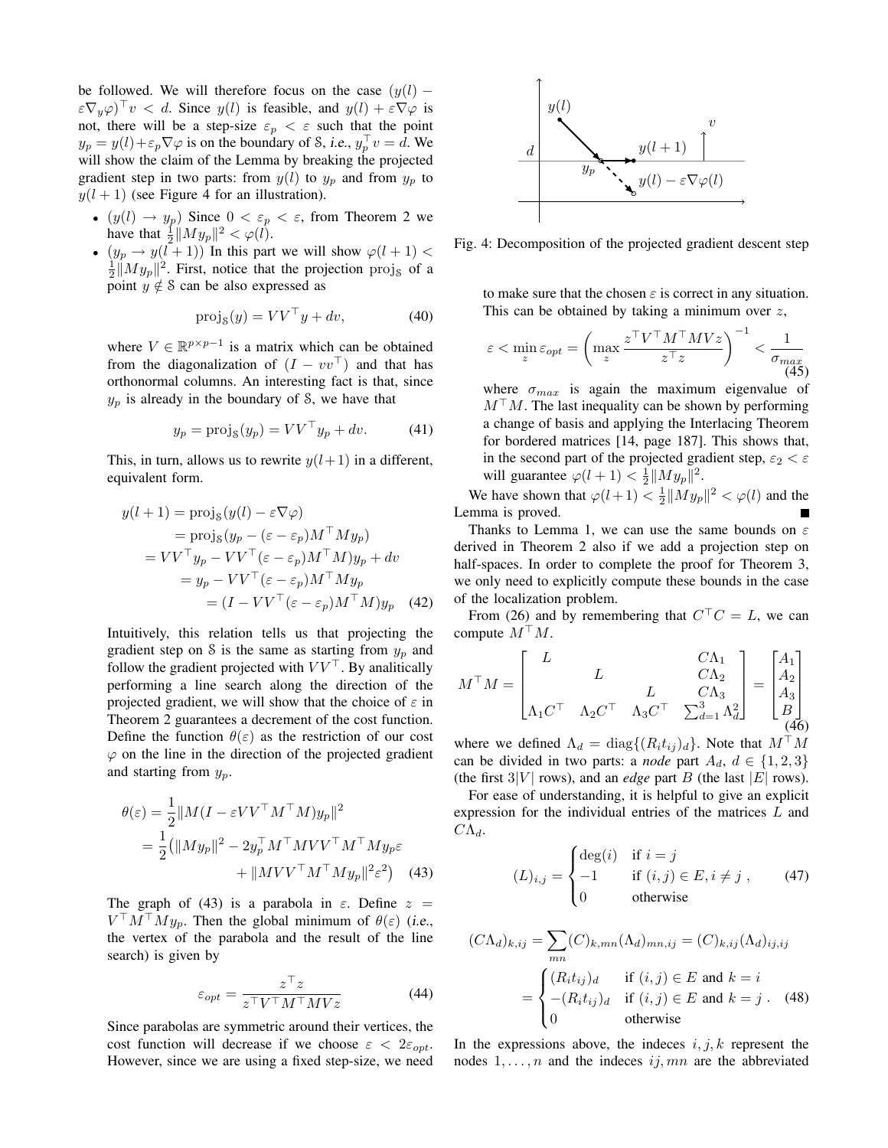be followed. We will therefore focus on the case  $(y(l) \epsilon \nabla_y \varphi$ <sup>T</sup> $v < d$ . Since  $y(l)$  is feasible, and  $y(l) + \epsilon \nabla \varphi$  is not, there will be a step-size  $\varepsilon_p < \varepsilon$  such that the point  $y_p = y(l) + \varepsilon_p \nabla \varphi$  is on the boundary of *S*, *i.e.*,  $y_p^{\top} v = d$ . We will show the claim of the Lemma by breaking the projected gradient step in two parts: from  $y(l)$  to  $y_p$  and from  $y_p$  to  $y(l + 1)$  (see Figure 4 for an illustration).

- $(y(l) \rightarrow y_p)$  Since  $0 < \varepsilon_p < \varepsilon$ , from Theorem 2 we have that  $\frac{1}{2} ||My_p||^2 < \varphi(\tilde{l}).$
- $(y_p \rightarrow y(l+1))$  In this part we will show  $\varphi(l+1)$  <  $\frac{1}{2} \|My_p\|^2$ . First, notice that the projection  $\text{proj}_\mathcal{S}$  of a point  $y \notin S$  can be also expressed as

$$
proj_{\mathcal{S}}(y) = VV^{\top}y + dv,
$$
 (40)

where  $V \in \mathbb{R}^{p \times p-1}$  is a matrix which can be obtained from the diagonalization of  $(I - vv^{\top})$  and that has orthonormal columns. An interesting fact is that, since  $y_p$  is already in the boundary of S, we have that

$$
y_p = \text{proj}_{\mathcal{S}}(y_p) = V V^{\top} y_p + dv. \tag{41}
$$

This, in turn, allows us to rewrite  $y(l+1)$  in a different, equivalent form.

$$
y(l+1) = \text{proj}_{S}(y(l) - \varepsilon \nabla \varphi)
$$
  
= 
$$
\text{proj}_{S}(y_{p} - (\varepsilon - \varepsilon_{p})M^{\top}My_{p})
$$
  
= 
$$
VV^{\top}y_{p} - VV^{\top}(\varepsilon - \varepsilon_{p})M^{\top}My_{p} + dv
$$
  
= 
$$
y_{p} - VV^{\top}(\varepsilon - \varepsilon_{p})M^{\top}My_{p}
$$
  
= 
$$
(I - VV^{\top}(\varepsilon - \varepsilon_{p})M^{\top}My_{p} \quad (42)
$$

Intuitively, this relation tells us that projecting the gradient step on S is the same as starting from  $y_n$  and follow the gradient projected with  $VV<sup>T</sup>$ . By analitically performing a line search along the direction of the projected gradient, we will show that the choice of  $\varepsilon$  in Theorem 2 guarantees a decrement of the cost function. Define the function  $\theta(\varepsilon)$  as the restriction of our cost  $\varphi$  on the line in the direction of the projected gradient and starting from  $y_p$ .

$$
\theta(\varepsilon) = \frac{1}{2} ||M(I - \varepsilon V V^{\top} M^{\top} M) y_p||^2
$$
  
= 
$$
\frac{1}{2} (||My_p||^2 - 2y_p^{\top} M^{\top} M V V^{\top} M^{\top} M y_p \varepsilon
$$
  
+ 
$$
||M V V^{\top} M^{\top} M y_p||^2 \varepsilon^2) \quad (43)
$$

The graph of (43) is a parabola in  $\varepsilon$ . Define  $z =$  $V^{\top}M^{\top}My_p$ . Then the global minimum of  $\theta(\varepsilon)$  (i.e., the vertex of the parabola and the result of the line search) is given by

$$
\varepsilon_{opt} = \frac{z^{\top} z}{z^{\top} V^{\top} M^{\top} M V z}
$$
(44)

Since parabolas are symmetric around their vertices, the cost function will decrease if we choose  $\varepsilon < 2\varepsilon_{opt}$ . However, since we are using a fixed step-size, we need



Fig. 4: Decomposition of the projected gradient descent step

to make sure that the chosen  $\varepsilon$  is correct in any situation. This can be obtained by taking a minimum over  $z$ ,

$$
\varepsilon < \min_{z} \varepsilon_{opt} = \left( \max_{z} \frac{z^{\top} V^{\top} M^{\top} M V z}{z^{\top} z} \right)^{-1} < \frac{1}{\sigma_{max}} \tag{45}
$$

where  $\sigma_{max}$  is again the maximum eigenvalue of  $M<sup>T</sup>M$ . The last inequality can be shown by performing a change of basis and applying the Interlacing Theorem for bordered matrices [14, page 187]. This shows that, in the second part of the projected gradient step,  $\varepsilon_2 < \varepsilon$ will guarantee  $\varphi(l+1) < \frac{1}{2} ||My_p||^2$ .

We have shown that  $\varphi(l+1) < \frac{1}{2} ||My_p||^2 < \varphi(l)$  and the Lemma is proved.

Thanks to Lemma 1, we can use the same bounds on  $\varepsilon$ derived in Theorem 2 also if we add a projection step on half-spaces. In order to complete the proof for Theorem 3, we only need to explicitly compute these bounds in the case of the localization problem.

From (26) and by remembering that  $C^{\top}C = L$ , we can compute  $M^\top M$ .

$$
M^{\top}M = \begin{bmatrix} L & C\Lambda_1 \\ L & L & C\Lambda_2 \\ \Lambda_1 C^{\top} & \Lambda_2 C^{\top} & \Lambda_3 C^{\top} & \sum_{d=1}^3 \Lambda_d^2 \end{bmatrix} = \begin{bmatrix} A_1 \\ A_2 \\ A_3 \\ B \\ (46) \end{bmatrix}
$$

where we defined  $\Lambda_d = \text{diag}\{(R_i t_{ij})_d\}$ . Note that  $M^\top M$ can be divided in two parts: a *node* part  $A_d$ ,  $d \in \{1,2,3\}$ (the first  $3|V|$  rows), and an *edge* part B (the last |E| rows).

For ease of understanding, it is helpful to give an explicit expression for the individual entries of the matrices  $L$  and  $C\Lambda_d$ .

$$
(L)_{i,j} = \begin{cases} \deg(i) & \text{if } i = j \\ -1 & \text{if } (i,j) \in E, i \neq j \\ 0 & \text{otherwise} \end{cases}
$$
 (47)

$$
(C\Lambda_d)_{k,ij} = \sum_{mn} (C)_{k,mn} (\Lambda_d)_{mn,ij} = (C)_{k,ij} (\Lambda_d)_{ij,ij}
$$

$$
= \begin{cases} (R_i t_{ij})_d & \text{if } (i,j) \in E \text{ and } k = i \\ -(R_i t_{ij})_d & \text{if } (i,j) \in E \text{ and } k = j. \\ 0 & \text{otherwise} \end{cases}
$$
(48)

In the expressions above, the indeces  $i, j, k$  represent the nodes  $1, \ldots, n$  and the indeces  $ij, mn$  are the abbreviated